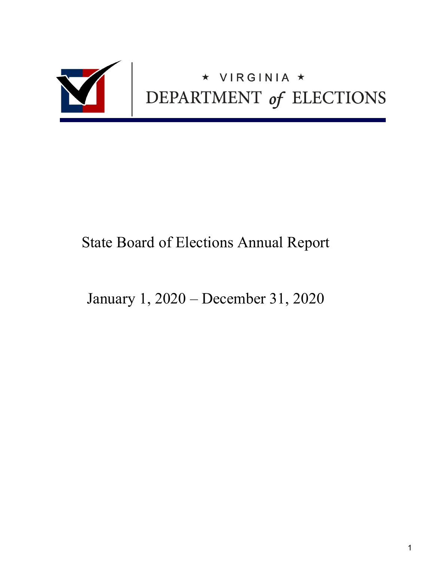

# State Board of Elections Annual Report

January 1, 2020 – December 31, 2020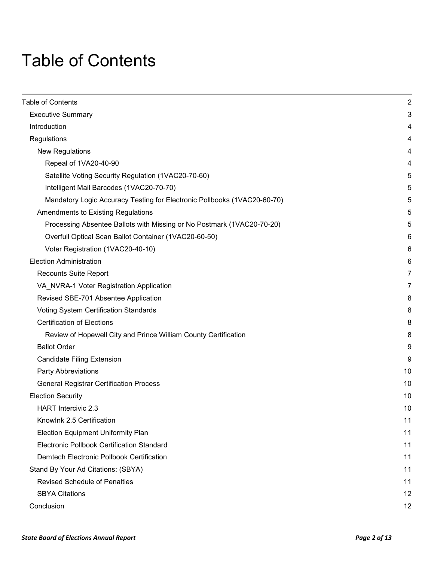# <span id="page-1-0"></span>Table of Contents

| Table of Contents                                                        | $\overline{2}$ |
|--------------------------------------------------------------------------|----------------|
| <b>Executive Summary</b>                                                 | 3              |
| Introduction                                                             | 4              |
| Regulations                                                              | 4              |
| <b>New Regulations</b>                                                   | 4              |
| Repeal of 1VA20-40-90                                                    | 4              |
| Satellite Voting Security Regulation (1VAC20-70-60)                      | 5              |
| Intelligent Mail Barcodes (1VAC20-70-70)                                 | 5              |
| Mandatory Logic Accuracy Testing for Electronic Pollbooks (1VAC20-60-70) | 5              |
| Amendments to Existing Regulations                                       | 5              |
| Processing Absentee Ballots with Missing or No Postmark (1VAC20-70-20)   | 5              |
| Overfull Optical Scan Ballot Container (1VAC20-60-50)                    | 6              |
| Voter Registration (1VAC20-40-10)                                        | 6              |
| <b>Election Administration</b>                                           | 6              |
| <b>Recounts Suite Report</b>                                             | 7              |
| VA_NVRA-1 Voter Registration Application                                 | 7              |
| Revised SBE-701 Absentee Application                                     | 8              |
| Voting System Certification Standards                                    | 8              |
| <b>Certification of Elections</b>                                        | 8              |
| Review of Hopewell City and Prince William County Certification          | 8              |
| <b>Ballot Order</b>                                                      | 9              |
| <b>Candidate Filing Extension</b>                                        | 9              |
| <b>Party Abbreviations</b>                                               | 10             |
| <b>General Registrar Certification Process</b>                           | 10             |
| <b>Election Security</b>                                                 | 10             |
| <b>HART</b> Intercivic 2.3                                               | 10             |
| Knowlnk 2.5 Certification                                                | 11             |
| <b>Election Equipment Uniformity Plan</b>                                | 11             |
| <b>Electronic Pollbook Certification Standard</b>                        | 11             |
| Demtech Electronic Pollbook Certification                                | 11             |
| Stand By Your Ad Citations: (SBYA)                                       | 11             |
| <b>Revised Schedule of Penalties</b>                                     | 11             |
| <b>SBYA Citations</b>                                                    | 12             |
| Conclusion                                                               | 12             |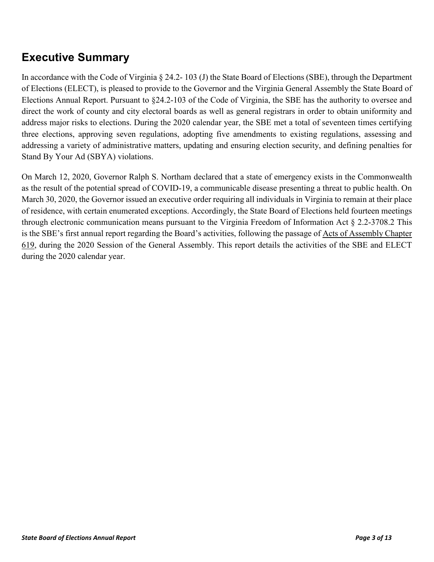# <span id="page-2-0"></span>**Executive Summary**

In accordance with the Code of Virginia § 24.2- 103 (J) the State Board of Elections (SBE), through the Department of Elections (ELECT), is pleased to provide to the Governor and the Virginia General Assembly the State Board of Elections Annual Report. Pursuant to §24.2-103 of the Code of Virginia, the SBE has the authority to oversee and direct the work of county and city electoral boards as well as general registrars in order to obtain uniformity and address major risks to elections. During the 2020 calendar year, the SBE met a total of seventeen times certifying three elections, approving seven regulations, adopting five amendments to existing regulations, assessing and addressing a variety of administrative matters, updating and ensuring election security, and defining penalties for Stand By Your Ad (SBYA) violations.

On March 12, 2020, Governor Ralph S. Northam declared that a state of emergency exists in the Commonwealth as the result of the potential spread of COVID-19, a communicable disease presenting a threat to public health. On March 30, 2020, the Governor issued an executive order requiring all individuals in Virginia to remain at their place of residence, with certain enumerated exceptions. Accordingly, the State Board of Elections held fourteen meetings through electronic communication means pursuant to the Virginia Freedom of Information Act § 2.2-3708.2 This is the SBE's first annual report regarding the Board's activities, following the passage of [Acts of Assembly Chapter](https://lis.virginia.gov/cgi-bin/legp604.exe?201+ful+CHAP0619)  [619,](https://lis.virginia.gov/cgi-bin/legp604.exe?201+ful+CHAP0619) during the 2020 Session of the General Assembly. This report details the activities of the SBE and ELECT during the 2020 calendar year.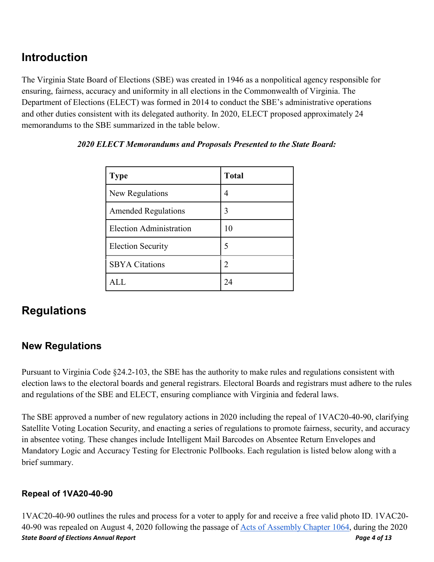# <span id="page-3-0"></span>**Introduction**

The Virginia State Board of Elections (SBE) was created in 1946 as a nonpolitical agency responsible for ensuring, fairness, accuracy and uniformity in all elections in the Commonwealth of Virginia. The Department of Elections (ELECT) was formed in 2014 to conduct the SBE's administrative operations and other duties consistent with its delegated authority. In 2020, ELECT proposed approximately 24 memorandums to the SBE summarized in the table below.

| <b>Type</b>                | <b>Total</b>         |
|----------------------------|----------------------|
| New Regulations            | 4                    |
| <b>Amended Regulations</b> | 3                    |
| Election Administration    | 10                   |
| <b>Election Security</b>   | 5                    |
| <b>SBYA Citations</b>      | 2                    |
|                            | $\gamma_{\varDelta}$ |

#### *2020 ELECT Memorandums and Proposals Presented to the State Board:*

# <span id="page-3-1"></span>**Regulations**

### <span id="page-3-2"></span>**New Regulations**

Pursuant to Virginia Code §24.2-103, the SBE has the authority to make rules and regulations consistent with election laws to the electoral boards and general registrars. Electoral Boards and registrars must adhere to the rules and regulations of the SBE and ELECT, ensuring compliance with Virginia and federal laws.

The SBE approved a number of new regulatory actions in 2020 including the repeal of 1VAC20-40-90, clarifying Satellite Voting Location Security, and enacting a series of regulations to promote fairness, security, and accuracy in absentee voting. These changes include Intelligent Mail Barcodes on Absentee Return Envelopes and Mandatory Logic and Accuracy Testing for Electronic Pollbooks. Each regulation is listed below along with a brief summary.

#### <span id="page-3-3"></span>**Repeal of 1VA20-40-90**

*State Board of Elections Annual Report Page 4 of 13* 1VAC20-40-90 outlines the rules and process for a voter to apply for and receive a free valid photo ID. 1VAC20- 40-90 was repealed on August 4, 2020 following the passage of [Acts of Assembly Chapter 1064,](https://lis.virginia.gov/cgi-bin/legp604.exe?201+ful+CHAP1064) during the 2020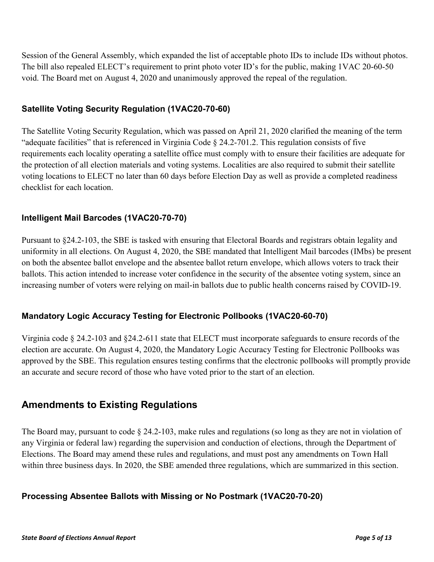Session of the General Assembly, which expanded the list of acceptable photo IDs to include IDs without photos. The bill also repealed ELECT's requirement to print photo voter ID's for the public, making 1VAC 20-60-50 void. The Board met on August 4, 2020 and unanimously approved the repeal of the regulation.

#### <span id="page-4-0"></span>**Satellite Voting Security Regulation (1VAC20-70-60)**

The Satellite Voting Security Regulation, which was passed on April 21, 2020 clarified the meaning of the term "adequate facilities" that is referenced in Virginia Code [§](https://law.lis.virginia.gov/vacode/2.2-608/) 24.2-701.2. This regulation consists of five requirements each locality operating a satellite office must comply with to ensure their facilities are adequate for the protection of all election materials and voting systems. Localities are also required to submit their satellite voting locations to ELECT no later than 60 days before Election Day as well as provide a completed readiness checklist for each location.

#### <span id="page-4-1"></span>**Intelligent Mail Barcodes (1VAC20-70-70)**

Pursuant to §24.2-103, the SBE is tasked with ensuring that Electoral Boards and registrars obtain legality and uniformity in all elections. On August 4, 2020, the SBE mandated that Intelligent Mail barcodes (IMbs) be present on both the absentee ballot envelope and the absentee ballot return envelope, which allows voters to track their ballots. This action intended to increase voter confidence in the security of the absentee voting system, since an increasing number of voters were relying on mail-in ballots due to public health concerns raised by COVID-19.

#### <span id="page-4-2"></span>**Mandatory Logic Accuracy Testing for Electronic Pollbooks (1VAC20-60-70)**

Virginia code § 24.2-103 and §24.2-611 state that ELECT must incorporate safeguards to ensure records of the election are accurate. On August 4, 2020, the Mandatory Logic Accuracy Testing for Electronic Pollbooks was approved by the SBE. This regulation ensures testing confirms that the electronic pollbooks will promptly provide an accurate and secure record of those who have voted prior to the start of an election.

### <span id="page-4-3"></span>**Amendments to Existing Regulations**

The Board may, pursuant to code § 24.2-103, make rules and regulations (so long as they are not in violation of any Virginia or federal law) regarding the supervision and conduction of elections, through the Department of Elections. The Board may amend these rules and regulations, and must post any amendments on Town Hall within three business days. In 2020, the SBE amended three regulations, which are summarized in this section.

#### <span id="page-4-4"></span>**Processing Absentee Ballots with Missing or No Postmark (1VAC20-70-20)**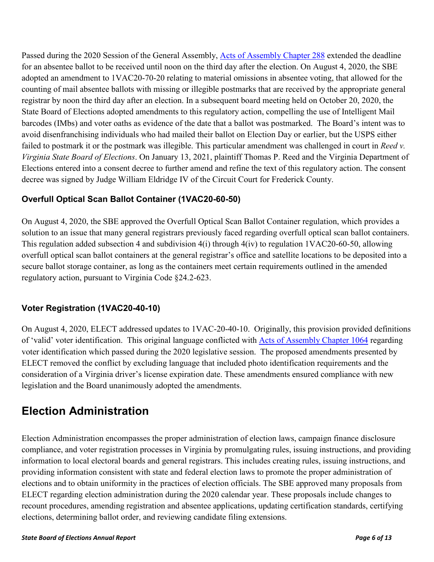Passed during the 2020 Session of the General Assembly, [Acts of Assembly Chapter 288](https://lis.virginia.gov/cgi-bin/legp604.exe?201+ful+CHAP0288) extended the deadline for an absentee ballot to be received until noon on the third day after the election. On August 4, 2020, the SBE adopted an amendment to 1VAC20-70-20 relating to material omissions in absentee voting, that allowed for the counting of mail absentee ballots with missing or illegible postmarks that are received by the appropriate general registrar by noon the third day after an election. In a subsequent board meeting held on October 20, 2020, the State Board of Elections adopted amendments to this regulatory action, compelling the use of Intelligent Mail barcodes (IMbs) and voter oaths as evidence of the date that a ballot was postmarked. The Board's intent was to avoid disenfranchising individuals who had mailed their ballot on Election Day or earlier, but the USPS either failed to postmark it or the postmark was illegible. This particular amendment was challenged in court in *Reed v. Virginia State Board of Elections*. On January 13, 2021, plaintiff Thomas P. Reed and the Virginia Department of Elections entered into a consent decree to further amend and refine the text of this regulatory action. The consent decree was signed by Judge William Eldridge IV of the Circuit Court for Frederick County.

#### <span id="page-5-0"></span>**Overfull Optical Scan Ballot Container (1VAC20-60-50)**

On August 4, 2020, the SBE approved the Overfull Optical Scan Ballot Container regulation, which provides a solution to an issue that many general registrars previously faced regarding overfull optical scan ballot containers. This regulation added subsection 4 and subdivision 4(i) through 4(iv) to regulation 1VAC20-60-50, allowing overfull optical scan ballot containers at the general registrar's office and satellite locations to be deposited into a secure ballot storage container, as long as the containers meet certain requirements outlined in the amended regulatory action, pursuant to Virginia Code §24.2-623.

#### <span id="page-5-1"></span>**Voter Registration (1VAC20-40-10)**

On August 4, 2020, ELECT addressed updates to 1VAC-20-40-10. Originally, this provision provided definitions of 'valid' voter identification. This original language conflicted with [Acts of Assembly Chapter 1064](https://lis.virginia.gov/cgi-bin/legp604.exe?201+ful+CHAP1064) regarding voter identification which passed during the 2020 legislative session. The proposed amendments presented by ELECT removed the conflict by excluding language that included photo identification requirements and the consideration of a Virginia driver's license expiration date. These amendments ensured compliance with new legislation and the Board unanimously adopted the amendments.

# <span id="page-5-2"></span>**Election Administration**

Election Administration encompasses the proper administration of election laws, campaign finance disclosure compliance, and voter registration processes in Virginia by promulgating rules, issuing instructions, and providing information to local electoral boards and general registrars. This includes creating rules, issuing instructions, and providing information consistent with state and federal election laws to promote the proper administration of elections and to obtain uniformity in the practices of election officials. The SBE approved many proposals from ELECT regarding election administration during the 2020 calendar year. These proposals include changes to recount procedures, amending registration and absentee applications, updating certification standards, certifying elections, determining ballot order, and reviewing candidate filing extensions.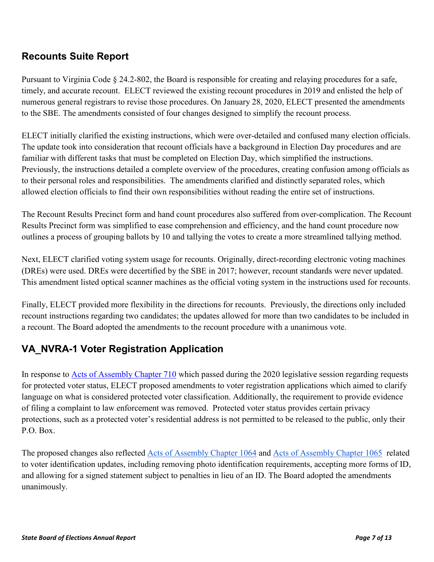## <span id="page-6-0"></span>**Recounts Suite Report**

Pursuant to Virginia Code § 24.2-802, the Board is responsible for creating and relaying procedures for a safe, timely, and accurate recount. ELECT reviewed the existing recount procedures in 2019 and enlisted the help of numerous general registrars to revise those procedures. On January 28, 2020, ELECT presented the amendments to the SBE. The amendments consisted of four changes designed to simplify the recount process.

ELECT initially clarified the existing instructions, which were over-detailed and confused many election officials. The update took into consideration that recount officials have a background in Election Day procedures and are familiar with different tasks that must be completed on Election Day, which simplified the instructions. Previously, the instructions detailed a complete overview of the procedures, creating confusion among officials as to their personal roles and responsibilities. The amendments clarified and distinctly separated roles, which allowed election officials to find their own responsibilities without reading the entire set of instructions.

The Recount Results Precinct form and hand count procedures also suffered from over-complication. The Recount Results Precinct form was simplified to ease comprehension and efficiency, and the hand count procedure now outlines a process of grouping ballots by 10 and tallying the votes to create a more streamlined tallying method.

Next, ELECT clarified voting system usage for recounts. Originally, direct-recording electronic voting machines (DREs) were used. DREs were decertified by the SBE in 2017; however, recount standards were never updated. This amendment listed optical scanner machines as the official voting system in the instructions used for recounts.

Finally, ELECT provided more flexibility in the directions for recounts. Previously, the directions only included recount instructions regarding two candidates; the updates allowed for more than two candidates to be included in a recount. The Board adopted the amendments to the recount procedure with a unanimous vote.

## <span id="page-6-1"></span>**VA\_NVRA-1 Voter Registration Application**

In response to [Acts of Assembly Chapter 710](https://lis.virginia.gov/cgi-bin/legp604.exe?201+ful+CHAP0710) which passed during the 2020 legislative session regarding requests for protected voter status, ELECT proposed amendments to voter registration applications which aimed to clarify language on what is considered protected voter classification. Additionally, the requirement to provide evidence of filing a complaint to law enforcement was removed. Protected voter status provides certain privacy protections, such as a protected voter's residential address is not permitted to be released to the public, only their P.O. Box.

The proposed changes also reflected [Acts of Assembly Chapter 1064](https://lis.virginia.gov/cgi-bin/legp604.exe?201+ful+CHAP1064) and [Acts of Assembly Chapter 1065](https://lis.virginia.gov/cgi-bin/legp604.exe?201+ful+CHAP1065) related to voter identification updates, including removing photo identification requirements, accepting more forms of ID, and allowing for a signed statement subject to penalties in lieu of an ID. The Board adopted the amendments unanimously.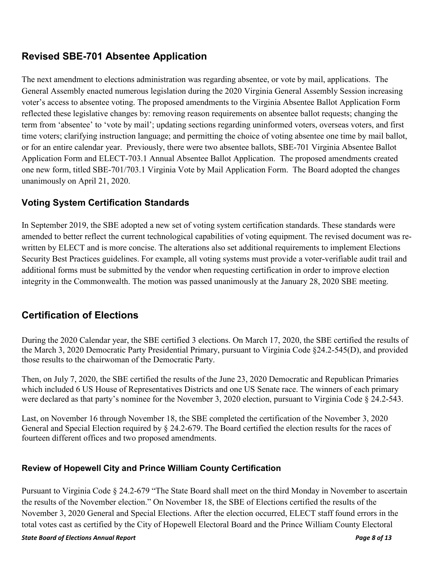## <span id="page-7-0"></span>**Revised SBE-701 Absentee Application**

The next amendment to elections administration was regarding absentee, or vote by mail, applications. The General Assembly enacted numerous legislation during the 2020 Virginia General Assembly Session increasing voter's access to absentee voting. The proposed amendments to the Virginia Absentee Ballot Application Form reflected these legislative changes by: removing reason requirements on absentee ballot requests; changing the term from 'absentee' to 'vote by mail'; updating sections regarding uninformed voters, overseas voters, and first time voters; clarifying instruction language; and permitting the choice of voting absentee one time by mail ballot, or for an entire calendar year. Previously, there were two absentee ballots, SBE-701 Virginia Absentee Ballot Application Form and ELECT-703.1 Annual Absentee Ballot Application. The proposed amendments created one new form, titled SBE-701/703.1 Virginia Vote by Mail Application Form. The Board adopted the changes unanimously on April 21, 2020.

#### <span id="page-7-1"></span>**Voting System Certification Standards**

In September 2019, the SBE adopted a new set of voting system certification standards. These standards were amended to better reflect the current technological capabilities of voting equipment. The revised document was rewritten by ELECT and is more concise. The alterations also set additional requirements to implement Elections Security Best Practices guidelines. For example, all voting systems must provide a voter-verifiable audit trail and additional forms must be submitted by the vendor when requesting certification in order to improve election integrity in the Commonwealth. The motion was passed unanimously at the January 28, 2020 SBE meeting.

## <span id="page-7-2"></span>**Certification of Elections**

During the 2020 Calendar year, the SBE certified 3 elections. On March 17, 2020, the SBE certified the results of the March 3, 2020 Democratic Party Presidential Primary, pursuant to Virginia Code §24.2-545(D), and provided those results to the chairwoman of the Democratic Party.

Then, on July 7, 2020, the SBE certified the results of the June 23, 2020 Democratic and Republican Primaries which included 6 US House of Representatives Districts and one US Senate race. The winners of each primary were declared as that party's nominee for the November 3, 2020 election, pursuant to Virginia Code § 24.2-543.

Last, on November 16 through November 18, the SBE completed the certification of the November 3, 2020 General and Special Election required by § 24.2-679. The Board certified the election results for the races of fourteen different offices and two proposed amendments.

#### <span id="page-7-3"></span>**Review of Hopewell City and Prince William County Certification**

Pursuant to Virginia Code § 24.2-679 "The State Board shall meet on the third Monday in November to ascertain the results of the November election." On November 18, the SBE of Elections certified the results of the November 3, 2020 General and Special Elections. After the election occurred, ELECT staff found errors in the total votes cast as certified by the City of Hopewell Electoral Board and the Prince William County Electoral

#### *State Board of Elections Annual Report Page 8 of 13*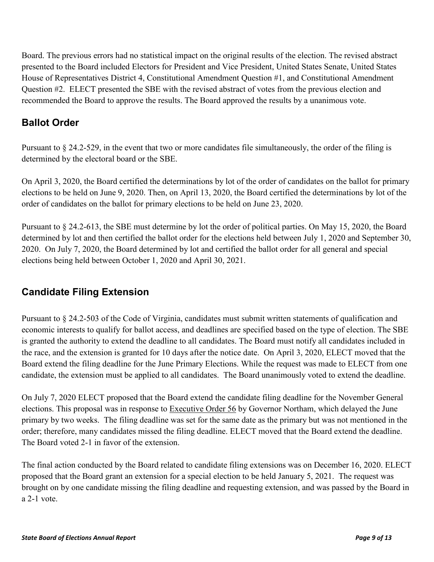Board. The previous errors had no statistical impact on the original results of the election. The revised abstract presented to the Board included Electors for President and Vice President, United States Senate, United States House of Representatives District 4, Constitutional Amendment Question #1, and Constitutional Amendment Question #2. ELECT presented the SBE with the revised abstract of votes from the previous election and recommended the Board to approve the results. The Board approved the results by a unanimous vote.

## <span id="page-8-0"></span>**Ballot Order**

Pursuant to § 24.2-529, in the event that two or more candidates file simultaneously, the order of the filing is determined by the electoral board or the SBE.

On April 3, 2020, the Board certified the determinations by lot of the order of candidates on the ballot for primary elections to be held on June 9, 2020. Then, on April 13, 2020, the Board certified the determinations by lot of the order of candidates on the ballot for primary elections to be held on June 23, 2020.

Pursuant to § 24.2-613, the SBE must determine by lot the order of political parties. On May 15, 2020, the Board determined by lot and then certified the ballot order for the elections held between July 1, 2020 and September 30, 2020. On July 7, 2020, the Board determined by lot and certified the ballot order for all general and special elections being held between October 1, 2020 and April 30, 2021.

## <span id="page-8-1"></span>**Candidate Filing Extension**

Pursuant to § 24.2-503 of the Code of Virginia, candidates must submit written statements of qualification and economic interests to qualify for ballot access, and deadlines are specified based on the type of election. The SBE is granted the authority to extend the deadline to all candidates. The Board must notify all candidates included in the race, and the extension is granted for 10 days after the notice date. On April 3, 2020, ELECT moved that the Board extend the filing deadline for the June Primary Elections. While the request was made to ELECT from one candidate, the extension must be applied to all candidates. The Board unanimously voted to extend the deadline.

On July 7, 2020 ELECT proposed that the Board extend the candidate filing deadline for the November General elections. This proposal was in response to [Executive Order 56](https://www.governor.virginia.gov/media/governorvirginiagov/executive-actions/EO-56-AMENDED---Postponing-June-9,-2020-Primary-Election-to-June-23,-2020-Due-to-Novel-Coronavirus-(COVID-19).pdf) by Governor Northam, which delayed the June primary by two weeks. The filing deadline was set for the same date as the primary but was not mentioned in the order; therefore, many candidates missed the filing deadline. ELECT moved that the Board extend the deadline. The Board voted 2-1 in favor of the extension.

The final action conducted by the Board related to candidate filing extensions was on December 16, 2020. ELECT proposed that the Board grant an extension for a special election to be held January 5, 2021. The request was brought on by one candidate missing the filing deadline and requesting extension, and was passed by the Board in a 2-1 vote.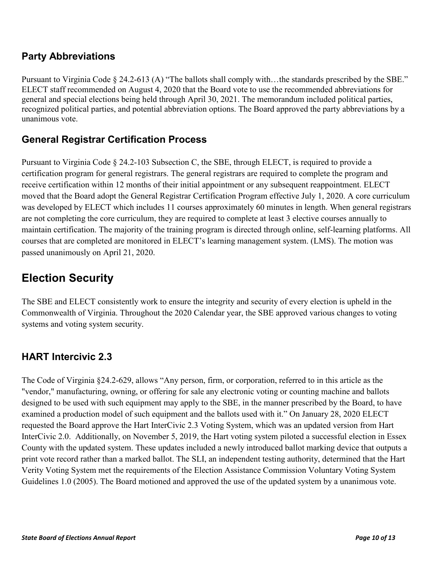## <span id="page-9-0"></span>**Party Abbreviations**

Pursuant to Virginia Code § 24.2-613 (A) "The ballots shall comply with...the standards prescribed by the SBE." ELECT staff recommended on August 4, 2020 that the Board vote to use the recommended abbreviations for general and special elections being held through April 30, 2021. The memorandum included political parties, recognized political parties, and potential abbreviation options. The Board approved the party abbreviations by a unanimous vote.

## <span id="page-9-1"></span>**General Registrar Certification Process**

Pursuant to Virginia Code  $\S 24.2$ -103 Subsection C, the SBE, through ELECT, is required to provide a certification program for general registrars. The general registrars are required to complete the program and receive certification within 12 months of their initial appointment or any subsequent reappointment. ELECT moved that the Board adopt the General Registrar Certification Program effective July 1, 2020. A core curriculum was developed by ELECT which includes 11 courses approximately 60 minutes in length. When general registrars are not completing the core curriculum, they are required to complete at least 3 elective courses annually to maintain certification. The majority of the training program is directed through online, self-learning platforms. All courses that are completed are monitored in ELECT's learning management system. (LMS). The motion was passed unanimously on April 21, 2020.

# <span id="page-9-2"></span>**Election Security**

The SBE and ELECT consistently work to ensure the integrity and security of every election is upheld in the Commonwealth of Virginia. Throughout the 2020 Calendar year, the SBE approved various changes to voting systems and voting system security.

### <span id="page-9-3"></span>**HART Intercivic 2.3**

The Code of Virginia §24.2-629, allows "Any person, firm, or corporation, referred to in this article as the "vendor," manufacturing, owning, or offering for sale any electronic voting or counting machine and ballots designed to be used with such equipment may apply to the SBE, in the manner prescribed by the Board, to have examined a production model of such equipment and the ballots used with it." On January 28, 2020 ELECT requested the Board approve the Hart InterCivic 2.3 Voting System, which was an updated version from Hart InterCivic 2.0. Additionally, on November 5, 2019, the Hart voting system piloted a successful election in Essex County with the updated system. These updates included a newly introduced ballot marking device that outputs a print vote record rather than a marked ballot. The SLI, an independent testing authority, determined that the Hart Verity Voting System met the requirements of the Election Assistance Commission Voluntary Voting System Guidelines 1.0 (2005). The Board motioned and approved the use of the updated system by a unanimous vote.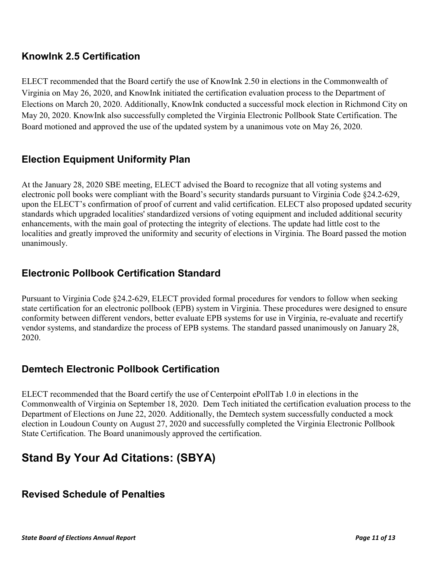## <span id="page-10-0"></span>**KnowInk 2.5 Certification**

ELECT recommended that the Board certify the use of KnowInk 2.50 in elections in the Commonwealth of Virginia on May 26, 2020, and KnowInk initiated the certification evaluation process to the Department of Elections on March 20, 2020. Additionally, KnowInk conducted a successful mock election in Richmond City on May 20, 2020. KnowInk also successfully completed the Virginia Electronic Pollbook State Certification. The Board motioned and approved the use of the updated system by a unanimous vote on May 26, 2020.

## <span id="page-10-1"></span>**Election Equipment Uniformity Plan**

At the January 28, 2020 SBE meeting, ELECT advised the Board to recognize that all voting systems and electronic poll books were compliant with the Board's security standards pursuant to Virginia Code §24.2-629, upon the ELECT's confirmation of proof of current and valid certification. ELECT also proposed updated security standards which upgraded localities' standardized versions of voting equipment and included additional security enhancements, with the main goal of protecting the integrity of elections. The update had little cost to the localities and greatly improved the uniformity and security of elections in Virginia. The Board passed the motion unanimously.

### <span id="page-10-2"></span>**Electronic Pollbook Certification Standard**

Pursuant to Virginia Code §24.2-629, ELECT provided formal procedures for vendors to follow when seeking state certification for an electronic pollbook (EPB) system in Virginia. These procedures were designed to ensure conformity between different vendors, better evaluate EPB systems for use in Virginia, re-evaluate and recertify vendor systems, and standardize the process of EPB systems. The standard passed unanimously on January 28, 2020.

### <span id="page-10-3"></span>**Demtech Electronic Pollbook Certification**

ELECT recommended that the Board certify the use of Centerpoint ePollTab 1.0 in elections in the Commonwealth of Virginia on September 18, 2020. Dem Tech initiated the certification evaluation process to the Department of Elections on June 22, 2020. Additionally, the Demtech system successfully conducted a mock election in Loudoun County on August 27, 2020 and successfully completed the Virginia Electronic Pollbook State Certification. The Board unanimously approved the certification.

# <span id="page-10-4"></span>**Stand By Your Ad Citations: (SBYA)**

#### <span id="page-10-5"></span>**Revised Schedule of Penalties**